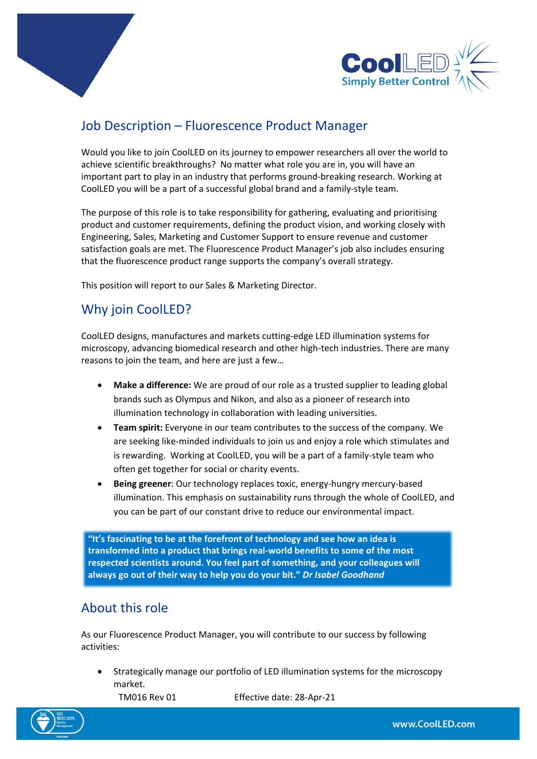



# Job Description – Fluorescence Product Manager

Would you like to join CoolLED on its journey to empower researchers all over the world to achieve scientific breakthroughs? No matter what role you are in, you will have an important part to play in an industry that performs ground-breaking research. Working at CoolLED you will be a part of a successful global brand and a family-style team.

The purpose of this role is to take responsibility for gathering, evaluating and prioritising product and customer requirements, defining the product vision, and working closely with Engineering, Sales, Marketing and Customer Support to ensure revenue and customer satisfaction goals are met. The Fluorescence Product Manager's job also includes ensuring that the fluorescence product range supports the company's overall strategy.

This position will report to our Sales & Marketing Director.

# Why join CoolLED?

CoolLED designs, manufactures and markets cutting-edge LED illumination systems for microscopy, advancing biomedical research and other high-tech industries. There are many reasons to join the team, and here are just a few…

- **Make a difference:** We are proud of our role as a trusted supplier to leading global brands such as Olympus and Nikon, and also as a pioneer of research into illumination technology in collaboration with leading universities.
- **Team spirit:** Everyone in our team contributes to the success of the company. We are seeking like-minded individuals to join us and enjoy a role which stimulates and is rewarding. Working at CoolLED, you will be a part of a family-style team who often get together for social or charity events.
- **Being greener**: Our technology replaces toxic, energy-hungry mercury-based illumination. This emphasis on sustainability runs through the whole of CoolLED, and you can be part of our constant drive to reduce our environmental impact.

**"It's fascinating to be at the forefront of technology and see how an idea is transformed into a product that brings real-world benefits to some of the most respected scientists around. You feel part of something, and your colleagues will always go out of their way to help you do your bit."** *Dr Isabel Goodhand*

## About this role

As our Fluorescence Product Manager, you will contribute to our success by following activities:

• Strategically manage our portfolio of LED illumination systems for the microscopy market.

TM016 Rev 01 Effective date: 28-Apr-21

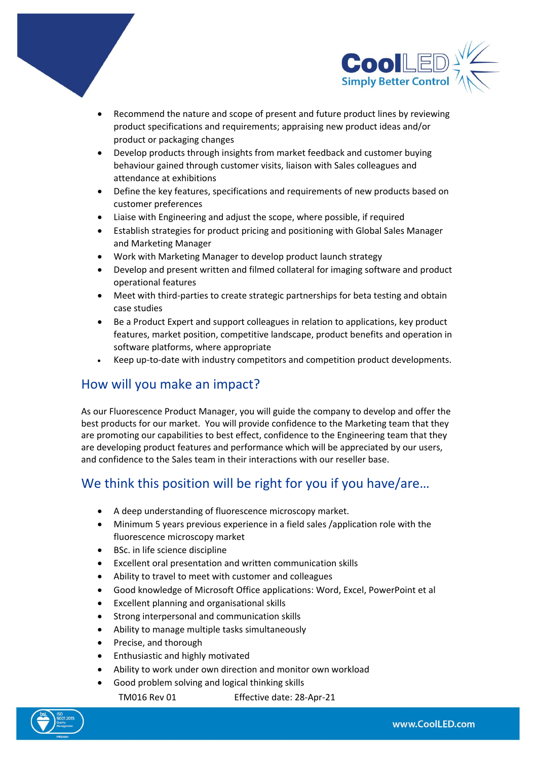



- Recommend the nature and scope of present and future product lines by reviewing product specifications and requirements; appraising new product ideas and/or product or packaging changes
- Develop products through insights from market feedback and customer buying behaviour gained through customer visits, liaison with Sales colleagues and attendance at exhibitions
- Define the key features, specifications and requirements of new products based on customer preferences
- Liaise with Engineering and adjust the scope, where possible, if required
- Establish strategies for product pricing and positioning with Global Sales Manager and Marketing Manager
- Work with Marketing Manager to develop product launch strategy
- Develop and present written and filmed collateral for imaging software and product operational features
- Meet with third-parties to create strategic partnerships for beta testing and obtain case studies
- Be a Product Expert and support colleagues in relation to applications, key product features, market position, competitive landscape, product benefits and operation in software platforms, where appropriate
- Keep up-to-date with industry competitors and competition product developments.

### How will you make an impact?

As our Fluorescence Product Manager, you will guide the company to develop and offer the best products for our market. You will provide confidence to the Marketing team that they are promoting our capabilities to best effect, confidence to the Engineering team that they are developing product features and performance which will be appreciated by our users, and confidence to the Sales team in their interactions with our reseller base.

## We think this position will be right for you if you have/are...

- A deep understanding of fluorescence microscopy market.
- Minimum 5 years previous experience in a field sales /application role with the fluorescence microscopy market
- BSc. in life science discipline
- Excellent oral presentation and written communication skills
- Ability to travel to meet with customer and colleagues
- Good knowledge of Microsoft Office applications: Word, Excel, PowerPoint et al
- Excellent planning and organisational skills
- Strong interpersonal and communication skills
- Ability to manage multiple tasks simultaneously
- Precise, and thorough
- Enthusiastic and highly motivated
- Ability to work under own direction and monitor own workload
- Good problem solving and logical thinking skills

TM016 Rev 01 Effective date: 28-Apr-21

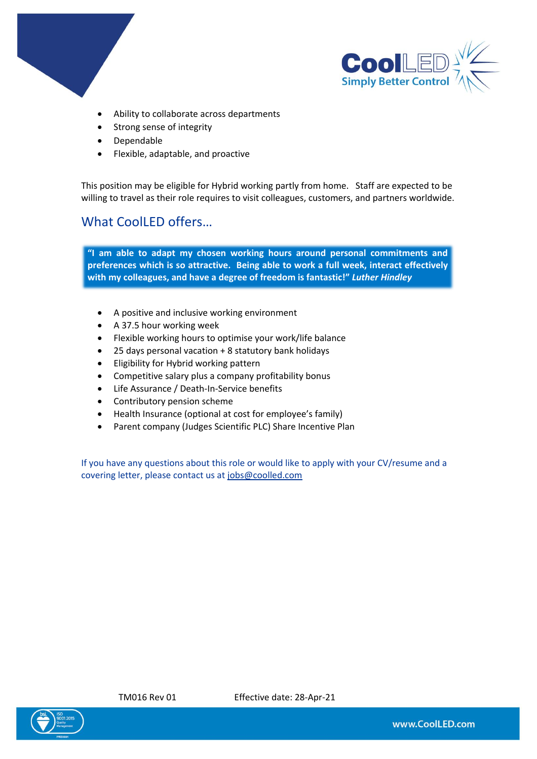



- Ability to collaborate across departments
- Strong sense of integrity
- Dependable
- Flexible, adaptable, and proactive

This position may be eligible for Hybrid working partly from home. Staff are expected to be willing to travel as their role requires to visit colleagues, customers, and partners worldwide.

### What CoolLED offers…

**"I am able to adapt my chosen working hours around personal commitments and preferences which is so attractive. Being able to work a full week, interact effectively with my colleagues, and have a degree of freedom is fantastic!"** *Luther Hindley*

- A positive and inclusive working environment
- A 37.5 hour working week
- Flexible working hours to optimise your work/life balance
- 25 days personal vacation + 8 statutory bank holidays
- Eligibility for Hybrid working pattern
- Competitive salary plus a company profitability bonus
- Life Assurance / Death-In-Service benefits
- Contributory pension scheme
- Health Insurance (optional at cost for employee's family)
- Parent company (Judges Scientific PLC) Share Incentive Plan

If you have any questions about this role or would like to apply with your CV/resume and a covering letter, please contact us at [jobs@coolled.com](mailto:jobs@coolled.com)